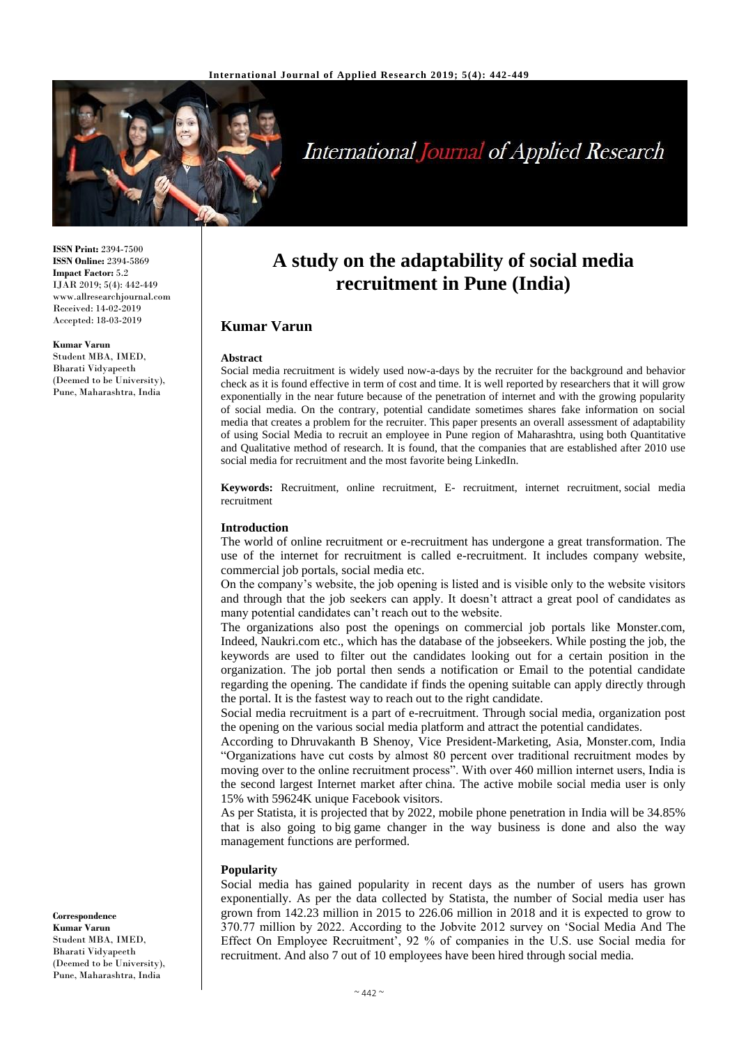

# **International Journal of Applied Research**

**ISSN Print:** 2394-7500 **ISSN Online:** 2394-5869 **Impact Factor:** 5.2 IJAR 2019; 5(4): 442-449 www.allresearchjournal.com Received: 14-02-2019 Accepted: 18-03-2019

**Kumar Varun** Student MBA, IMED, Bharati Vidyapeeth (Deemed to be University), Pune, Maharashtra, India

**A study on the adaptability of social media recruitment in Pune (India)**

# **Kumar Varun**

#### **Abstract**

Social media recruitment is widely used now-a-days by the recruiter for the background and behavior check as it is found effective in term of cost and time. It is well reported by researchers that it will grow exponentially in the near future because of the penetration of internet and with the growing popularity of social media. On the contrary, potential candidate sometimes shares fake information on social media that creates a problem for the recruiter. This paper presents an overall assessment of adaptability of using Social Media to recruit an employee in Pune region of Maharashtra, using both Quantitative and Qualitative method of research. It is found, that the companies that are established after 2010 use social media for recruitment and the most favorite being LinkedIn.

**Keywords:** Recruitment, online recruitment, E- recruitment, internet recruitment, social media recruitment

#### **Introduction**

The world of online recruitment or e-recruitment has undergone a great transformation. The use of the internet for recruitment is called e-recruitment. It includes company website, commercial job portals, social media etc.

On the company's website, the job opening is listed and is visible only to the website visitors and through that the job seekers can apply. It doesn't attract a great pool of candidates as many potential candidates can't reach out to the website.

The organizations also post the openings on commercial job portals like Monster.com, Indeed, Naukri.com etc., which has the database of the jobseekers. While posting the job, the keywords are used to filter out the candidates looking out for a certain position in the organization. The job portal then sends a notification or Email to the potential candidate regarding the opening. The candidate if finds the opening suitable can apply directly through the portal. It is the fastest way to reach out to the right candidate.

Social media recruitment is a part of e-recruitment. Through social media, organization post the opening on the various social media platform and attract the potential candidates.

According to Dhruvakanth B Shenoy, Vice President-Marketing, Asia, Monster.com, India "Organizations have cut costs by almost 80 percent over traditional recruitment modes by moving over to the online recruitment process". With over 460 million internet users, India is the second largest Internet market after china. The active mobile social media user is only 15% with 59624K unique Facebook visitors.

As per Statista, it is projected that by 2022, mobile phone penetration in India will be 34.85% that is also going to big game changer in the way business is done and also the way management functions are performed.

#### **Popularity**

Social media has gained popularity in recent days as the number of users has grown exponentially. As per the data collected by Statista, the number of Social media user has grown from 142.23 million in 2015 to 226.06 million in 2018 and it is expected to grow to 370.77 million by 2022. According to the Jobvite 2012 survey on 'Social Media And The Effect On Employee Recruitment', 92 % of companies in the U.S. use Social media for recruitment. And also 7 out of 10 employees have been hired through social media.

**Correspondence Kumar Varun** Student MBA, IMED, Bharati Vidyapeeth (Deemed to be University), Pune, Maharashtra, India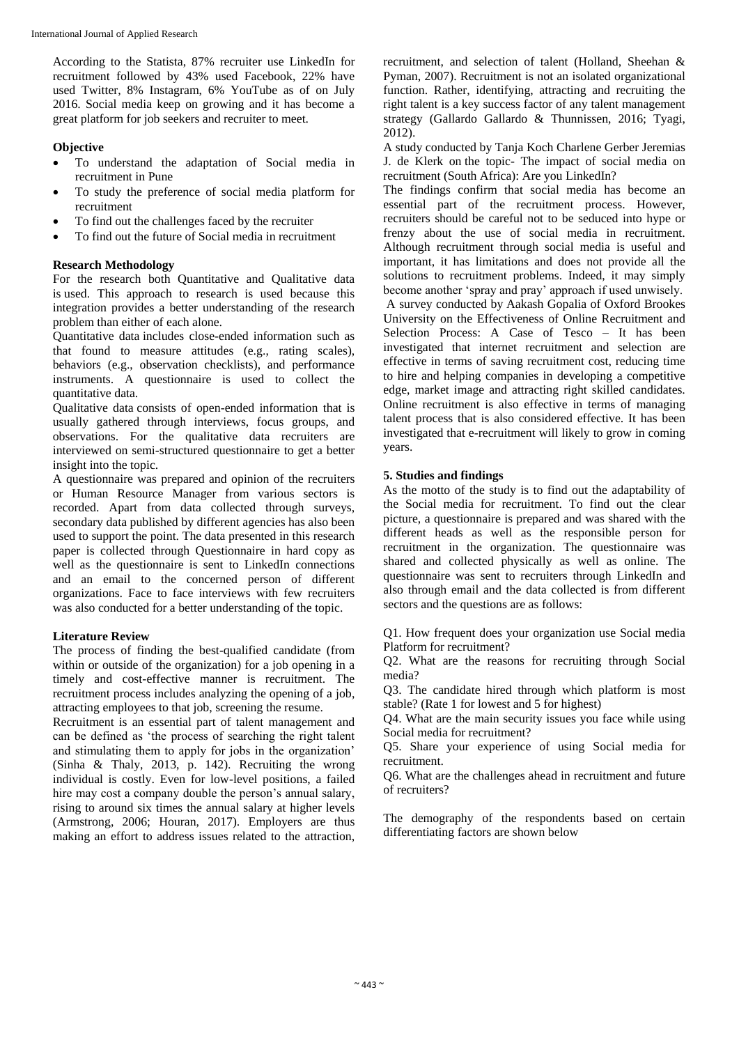According to the Statista, 87% recruiter use LinkedIn for recruitment followed by 43% used Facebook, 22% have used Twitter, 8% Instagram, 6% YouTube as of on July 2016. Social media keep on growing and it has become a great platform for job seekers and recruiter to meet.

### **Objective**

- To understand the adaptation of Social media in recruitment in Pune
- To study the preference of social media platform for recruitment
- To find out the challenges faced by the recruiter
- To find out the future of Social media in recruitment

#### **Research Methodology**

For the research both Quantitative and Qualitative data is used. This approach to research is used because this integration provides a better understanding of the research problem than either of each alone.

Quantitative data includes close-ended information such as that found to measure attitudes (e.g., rating scales), behaviors (e.g., observation checklists), and performance instruments. A questionnaire is used to collect the quantitative data.

Qualitative data consists of open-ended information that is usually gathered through interviews, focus groups, and observations. For the qualitative data recruiters are interviewed on semi-structured questionnaire to get a better insight into the topic.

A questionnaire was prepared and opinion of the recruiters or Human Resource Manager from various sectors is recorded. Apart from data collected through surveys, secondary data published by different agencies has also been used to support the point. The data presented in this research paper is collected through Questionnaire in hard copy as well as the questionnaire is sent to LinkedIn connections and an email to the concerned person of different organizations. Face to face interviews with few recruiters was also conducted for a better understanding of the topic.

### **Literature Review**

The process of finding the best-qualified candidate (from within or outside of the organization) for a job opening in a timely and cost-effective manner is recruitment. The recruitment process includes analyzing the opening of a job, attracting employees to that job, screening the resume.

Recruitment is an essential part of talent management and can be defined as 'the process of searching the right talent and stimulating them to apply for jobs in the organization' (Sinha & Thaly, 2013, p. 142). Recruiting the wrong individual is costly. Even for low-level positions, a failed hire may cost a company double the person's annual salary, rising to around six times the annual salary at higher levels (Armstrong, 2006; Houran, 2017). Employers are thus making an effort to address issues related to the attraction, recruitment, and selection of talent (Holland, Sheehan & Pyman, 2007). Recruitment is not an isolated organizational function. Rather, identifying, attracting and recruiting the right talent is a key success factor of any talent management strategy (Gallardo Gallardo & Thunnissen, 2016; Tyagi, 2012).

A study conducted by Tanja Koch Charlene Gerber Jeremias J. de Klerk on the topic- The impact of social media on recruitment (South Africa): Are you LinkedIn?

The findings confirm that social media has become an essential part of the recruitment process. However, recruiters should be careful not to be seduced into hype or frenzy about the use of social media in recruitment. Although recruitment through social media is useful and important, it has limitations and does not provide all the solutions to recruitment problems. Indeed, it may simply become another 'spray and pray' approach if used unwisely. A survey conducted by Aakash Gopalia of Oxford Brookes University on the Effectiveness of Online Recruitment and Selection Process: A Case of Tesco – It has been investigated that internet recruitment and selection are effective in terms of saving recruitment cost, reducing time to hire and helping companies in developing a competitive edge, market image and attracting right skilled candidates. Online recruitment is also effective in terms of managing talent process that is also considered effective. It has been investigated that e-recruitment will likely to grow in coming years.

#### **5. Studies and findings**

As the motto of the study is to find out the adaptability of the Social media for recruitment. To find out the clear picture, a questionnaire is prepared and was shared with the different heads as well as the responsible person for recruitment in the organization. The questionnaire was shared and collected physically as well as online. The questionnaire was sent to recruiters through LinkedIn and also through email and the data collected is from different sectors and the questions are as follows:

Q1. How frequent does your organization use Social media Platform for recruitment?

Q2. What are the reasons for recruiting through Social media?

Q3. The candidate hired through which platform is most stable? (Rate 1 for lowest and 5 for highest)

Q4. What are the main security issues you face while using Social media for recruitment?

Q5. Share your experience of using Social media for recruitment.

Q6. What are the challenges ahead in recruitment and future of recruiters?

The demography of the respondents based on certain differentiating factors are shown below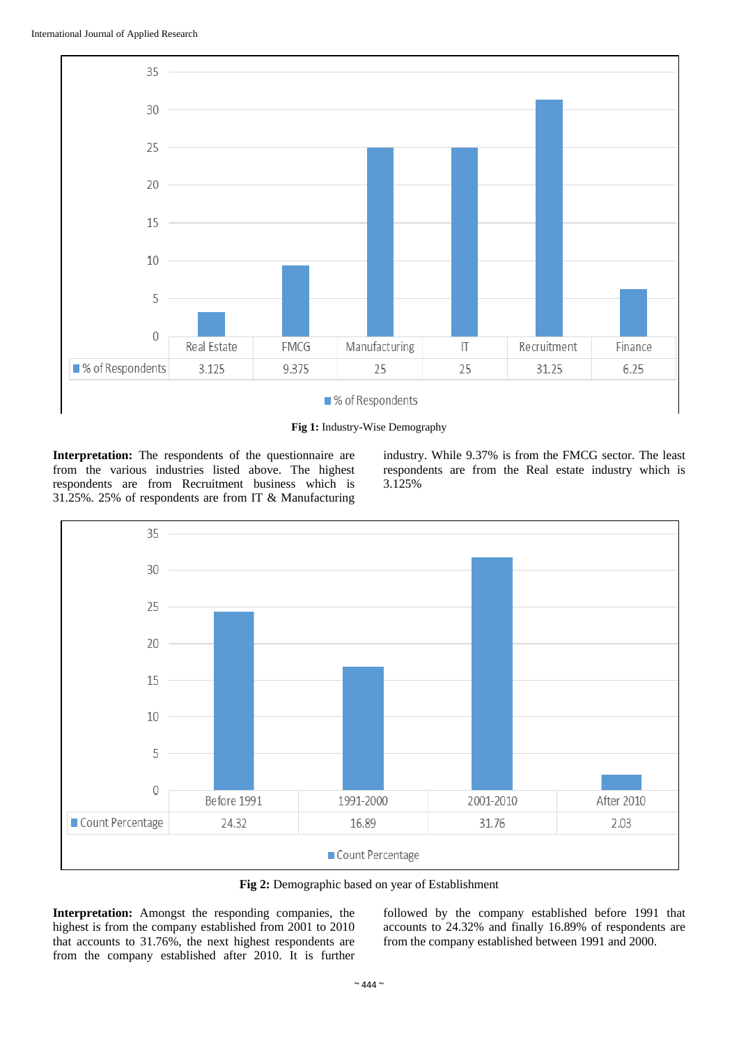

**Fig 1:** Industry-Wise Demography

**Interpretation:** The respondents of the questionnaire are from the various industries listed above. The highest respondents are from Recruitment business which is 31.25%. 25% of respondents are from IT & Manufacturing industry. While 9.37% is from the FMCG sector. The least respondents are from the Real estate industry which is 3.125%



**Fig 2:** Demographic based on year of Establishment

**Interpretation:** Amongst the responding companies, the highest is from the company established from 2001 to 2010 that accounts to 31.76%, the next highest respondents are from the company established after 2010. It is further followed by the company established before 1991 that accounts to 24.32% and finally 16.89% of respondents are from the company established between 1991 and 2000.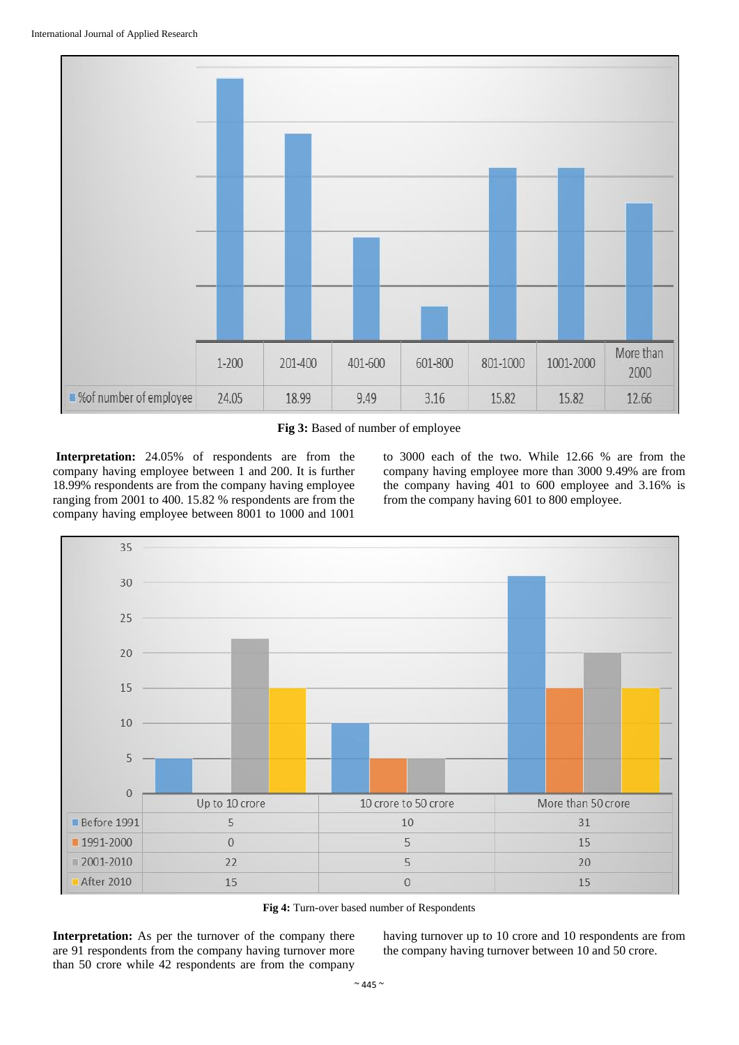

**Fig 3:** Based of number of employee

**Interpretation:** 24.05% of respondents are from the company having employee between 1 and 200. It is further 18.99% respondents are from the company having employee ranging from 2001 to 400. 15.82 % respondents are from the company having employee between 8001 to 1000 and 1001

to 3000 each of the two. While 12.66 % are from the company having employee more than 3000 9.49% are from the company having 401 to 600 employee and 3.16% is from the company having 601 to 800 employee.



**Fig 4:** Turn-over based number of Respondents

**Interpretation:** As per the turnover of the company there are 91 respondents from the company having turnover more than 50 crore while 42 respondents are from the company

having turnover up to 10 crore and 10 respondents are from the company having turnover between 10 and 50 crore.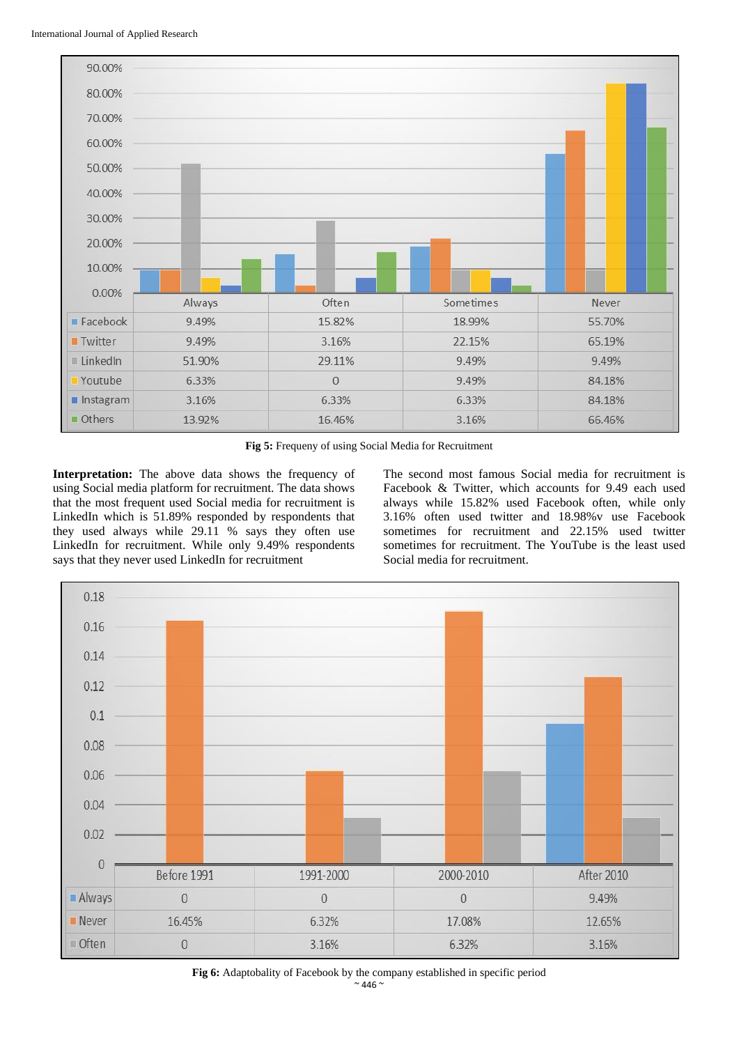

**Fig 5:** Frequeny of using Social Media for Recruitment

**Interpretation:** The above data shows the frequency of using Social media platform for recruitment. The data shows that the most frequent used Social media for recruitment is LinkedIn which is 51.89% responded by respondents that they used always while 29.11 % says they often use LinkedIn for recruitment. While only 9.49% respondents says that they never used LinkedIn for recruitment

The second most famous Social media for recruitment is Facebook & Twitter, which accounts for 9.49 each used always while 15.82% used Facebook often, while only 3.16% often used twitter and 18.98%v use Facebook sometimes for recruitment and 22.15% used twitter sometimes for recruitment. The YouTube is the least used Social media for recruitment.



 $~^{\sim}$  446  $~^{\sim}$ **Fig 6:** Adaptobality of Facebook by the company established in specific period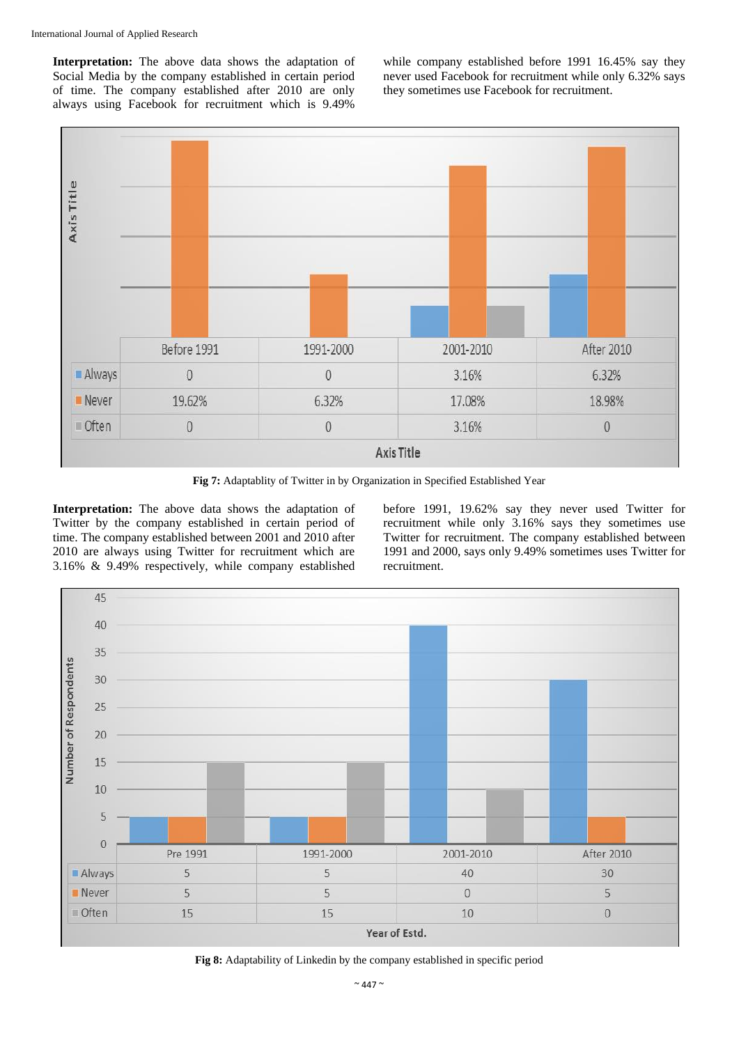**Interpretation:** The above data shows the adaptation of Social Media by the company established in certain period of time. The company established after 2010 are only always using Facebook for recruitment which is 9.49%

while company established before 1991 16.45% say they never used Facebook for recruitment while only 6.32% says they sometimes use Facebook for recruitment.



**Fig 7:** Adaptablity of Twitter in by Organization in Specified Established Year

**Interpretation:** The above data shows the adaptation of Twitter by the company established in certain period of time. The company established between 2001 and 2010 after 2010 are always using Twitter for recruitment which are 3.16% & 9.49% respectively, while company established

before 1991, 19.62% say they never used Twitter for recruitment while only 3.16% says they sometimes use Twitter for recruitment. The company established between 1991 and 2000, says only 9.49% sometimes uses Twitter for recruitment.



**Fig 8:** Adaptability of Linkedin by the company established in specific period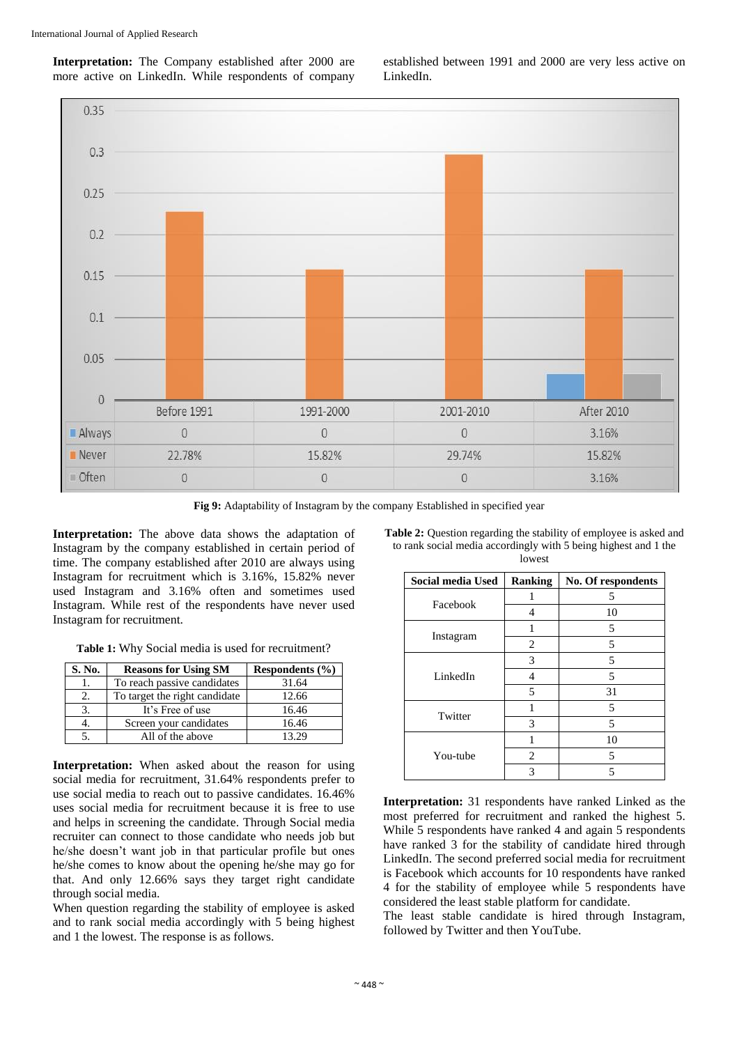**Interpretation:** The Company established after 2000 are more active on LinkedIn. While respondents of company

established between 1991 and 2000 are very less active on LinkedIn.



**Fig 9:** Adaptability of Instagram by the company Established in specified year

**Interpretation:** The above data shows the adaptation of Instagram by the company established in certain period of time. The company established after 2010 are always using Instagram for recruitment which is 3.16%, 15.82% never used Instagram and 3.16% often and sometimes used Instagram. While rest of the respondents have never used Instagram for recruitment.

**Table 1:** Why Social media is used for recruitment?

| S. No. | <b>Reasons for Using SM</b>   | Respondents $(\% )$ |
|--------|-------------------------------|---------------------|
|        | To reach passive candidates   | 31.64               |
|        | To target the right candidate | 12.66               |
|        | It's Free of use              | 16.46               |
|        | Screen your candidates        | 16.46               |
|        | All of the above              | 13.29               |

**Interpretation:** When asked about the reason for using social media for recruitment, 31.64% respondents prefer to use social media to reach out to passive candidates. 16.46% uses social media for recruitment because it is free to use and helps in screening the candidate. Through Social media recruiter can connect to those candidate who needs job but he/she doesn't want job in that particular profile but ones he/she comes to know about the opening he/she may go for that. And only 12.66% says they target right candidate through social media.

When question regarding the stability of employee is asked and to rank social media accordingly with 5 being highest and 1 the lowest. The response is as follows.

**Table 2:** Question regarding the stability of employee is asked and to rank social media accordingly with 5 being highest and 1 the lowest

| Social media Used | Ranking        | No. Of respondents |
|-------------------|----------------|--------------------|
| Facebook          |                | 5                  |
|                   | 4              | 10                 |
|                   | 1              | 5                  |
| Instagram         | $\overline{c}$ | 5                  |
|                   | 3              | 5                  |
| LinkedIn          | 4              | 5                  |
|                   | 5              | 31                 |
| Twitter           | 1              | 5                  |
|                   | 3              | 5                  |
|                   | 1              | 10                 |
| You-tube          | 2              | 5                  |
|                   | 3              | 5                  |

**Interpretation:** 31 respondents have ranked Linked as the most preferred for recruitment and ranked the highest 5. While 5 respondents have ranked 4 and again 5 respondents have ranked 3 for the stability of candidate hired through LinkedIn. The second preferred social media for recruitment is Facebook which accounts for 10 respondents have ranked 4 for the stability of employee while 5 respondents have considered the least stable platform for candidate.

The least stable candidate is hired through Instagram, followed by Twitter and then YouTube.